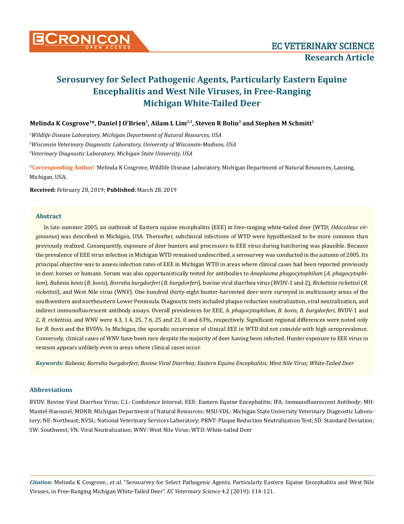

Melinda K Cosgrove<sup>1\*</sup>, Daniel J O'Brien<sup>1</sup>, Ailam L Lim<sup>2,3</sup>, Steven R Bolin<sup>3</sup> and Stephen M Schmitt<sup>1</sup>

*1 Wildlife Disease Laboratory, Michigan Department of Natural Resources, USA 2 Wisconsin Veterinary Diagnostic Laboratory, University of Wisconsin-Madison, USA 3 Veterinary Diagnostic Laboratory, Michigan State University, USA*

**\*Corresponding Author**: Melinda K Cosgrove, Wildlife Disease Laboratory, Michigan Department of Natural Resources, Lansing, Michigan, USA.

**Received:** February 28, 2019; **Published:** March 28, 2019

# **Abstract**

In late summer 2005, an outbreak of Eastern equine encephalitis (EEE) in free-ranging white-tailed deer (WTD; *Odocoileus virginianus*) was described in Michigan, USA. Thereafter, subclinical infections of WTD were hypothesized to be more common than previously realized. Consequently, exposure of deer hunters and processors to EEE virus during butchering was plausible. Because the prevalence of EEE virus infection in Michigan WTD remained undescribed, a serosurvey was conducted in the autumn of 2005. Its principal objective was to assess infection rates of EEE in Michigan WTD in areas where clinical cases had been reported previously in deer, horses or humans. Serum was also opportunistically tested for antibodies to *Anaplasma phagocytophilum* (*A. phagocytophilum*)*, Babesia bovis* (*B. bovis*), *Borrelia burgdorferi* (*B. burgdorferi*), bovine viral diarrhea virus (BVDV-1 and 2), *Rickettsia rickettsii* (*R. rickettsii*)*,* and West Nile virus (WNV). One hundred thirty-eight hunter-harvested deer were surveyed in multicounty areas of the southwestern and northeastern Lower Peninsula. Diagnostic tests included plaque reduction neutralization, viral neutralization, and indirect immunofluorescent antibody assays. Overall prevalences for EEE, *A. phagocytophilum*, *B. bovis*, *B. burgdorferi*, BVDV-1 and 2, *R. rickettsia*, and WNV were 4.3, 1.4, 25, 7.6, 25 and 21, 0 and 63%, respectively. Significant regional differences were noted only for *B. bovis* and the BVDVs. In Michigan, the sporadic occurrence of clinical EEE in WTD did not coincide with high seroprevalence. Conversely, clinical cases of WNV have been rare despite the majority of deer having been infected. Hunter exposure to EEE virus in venison appears unlikely even in areas where clinical cases occur.

*Keywords: Babesia; Borrelia burgdorferi; Bovine Viral Diarrhea; Eastern Equine Encephalitis; West Nile Virus; White-Tailed Deer*

## **Abbreviations**

BVDV: Bovine Viral Diarrhea Virus; C.I.: Confidence Interval; EEE: Eastern Equine Encephalitis; IFA: Immunofluorescent Antibody; MH: Mantel-Haenszel; MDNR: Michigan Department of Natural Resources; MSU-VDL: Michigan State University Veterinary Diagnostic Laboratory; NE: Northeast; NVSL: National Veterinary Services Laboratory; PRNT: Plaque Reduction Neutralization Test; SD: Standard Deviation; SW: Southwest; VN: Viral Neutralization; WNV: West Nile Virus; WTD: White-tailed Deer

*Citation:* Melinda K Cosgrove., *et al*. "Serosurvey for Select Pathogenic Agents, Particularly Eastern Equine Encephalitis and West Nile Viruses, in Free-Ranging Michigan White-Tailed Deer". *EC Veterinary Science* 4.2 (2019): 114-121.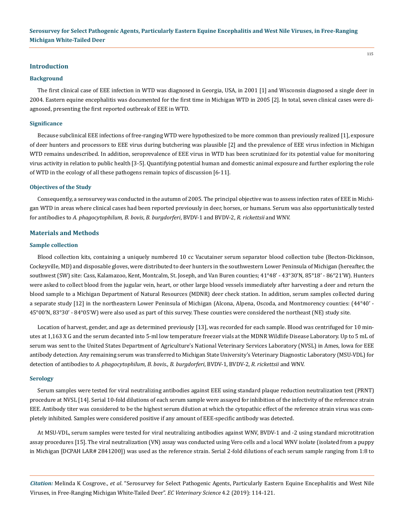# **Introduction**

## **Background**

The first clinical case of EEE infection in WTD was diagnosed in Georgia, USA, in 2001 [1] and Wisconsin diagnosed a single deer in 2004. Eastern equine encephalitis was documented for the first time in Michigan WTD in 2005 [2]. In total, seven clinical cases were diagnosed, presenting the first reported outbreak of EEE in WTD.

#### **Significance**

Because subclinical EEE infections of free-ranging WTD were hypothesized to be more common than previously realized [1], exposure of deer hunters and processors to EEE virus during butchering was plausible [2] and the prevalence of EEE virus infection in Michigan WTD remains undescribed. In addition, seroprevalence of EEE virus in WTD has been scrutinized for its potential value for monitoring virus activity in relation to public health [3-5]. Quantifying potential human and domestic animal exposure and further exploring the role of WTD in the ecology of all these pathogens remain topics of discussion [6-11].

#### **Objectives of the Study**

Consequently, a serosurvey was conducted in the autumn of 2005. The principal objective was to assess infection rates of EEE in Michigan WTD in areas where clinical cases had been reported previously in deer, horses, or humans. Serum was also opportunistically tested for antibodies to *A. phagocytophilum, B. bovis*, *B. burgdorferi*, BVDV-1 and BVDV-2, *R. rickettsii* and WNV.

#### **Materials and Methods**

## **Sample collection**

Blood collection kits, containing a uniquely numbered 10 cc Vacutainer serum separator blood collection tube (Becton-Dickinson, Cockeyville, MD) and disposable gloves, were distributed to deer hunters in the southwestern Lower Peninsula of Michigan (hereafter, the southwest (SW) site: Cass, Kalamazoo, Kent, Montcalm, St. Joseph, and Van Buren counties; 41°48' - 43°30'N, 85°18' - 86°21'W). Hunters were asked to collect blood from the jugular vein, heart, or other large blood vessels immediately after harvesting a deer and return the blood sample to a Michigan Department of Natural Resources (MDNR) deer check station. In addition, serum samples collected during a separate study [12] in the northeastern Lower Peninsula of Michigan (Alcona, Alpena, Oscoda, and Montmorency counties: (44°40' - 45°00'N, 83°30' - 84°05'W) were also used as part of this survey. These counties were considered the northeast (NE) study site.

Location of harvest, gender, and age as determined previously [13], was recorded for each sample. Blood was centrifuged for 10 minutes at 1,163 X G and the serum decanted into 5-ml low temperature freezer vials at the MDNR Wildlife Disease Laboratory. Up to 5 mL of serum was sent to the United States Department of Agriculture's National Veterinary Services Laboratory (NVSL) in Ames, Iowa for EEE antibody detection. Any remaining serum was transferred to Michigan State University's Veterinary Diagnostic Laboratory (MSU-VDL) for detection of antibodies to *A. phagocytophilum*, *B. bovis.*, *B. burgdorferi*, BVDV-1, BVDV-2, *R. rickettsii* and WNV.

#### **Serology**

Serum samples were tested for viral neutralizing antibodies against EEE using standard plaque reduction neutralization test (PRNT) procedure at NVSL [14]. Serial 10-fold dilutions of each serum sample were assayed for inhibition of the infectivity of the reference strain EEE. Antibody titer was considered to be the highest serum dilution at which the cytopathic effect of the reference strain virus was completely inhibited. Samples were considered positive if any amount of EEE-specific antibody was detected.

At MSU-VDL, serum samples were tested for viral neutralizing antibodies against WNV, BVDV-1 and -2 using standard microtitration assay procedures [15]. The viral neutralization (VN) assay was conducted using Vero cells and a local WNV isolate (isolated from a puppy in Michigan [DCPAH LAR# 2841200]) was used as the reference strain. Serial 2-fold dilutions of each serum sample ranging from 1:8 to

*Citation:* Melinda K Cosgrove., *et al*. "Serosurvey for Select Pathogenic Agents, Particularly Eastern Equine Encephalitis and West Nile Viruses, in Free-Ranging Michigan White-Tailed Deer". *EC Veterinary Science* 4.2 (2019): 114-121.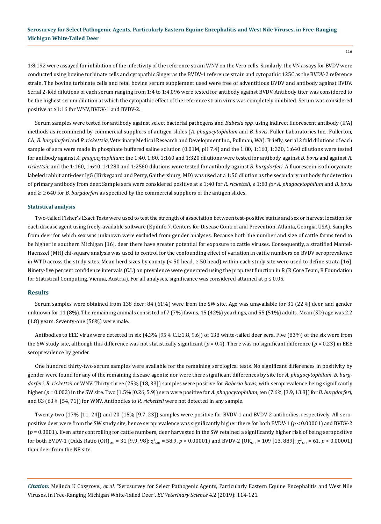1:8,192 were assayed for inhibition of the infectivity of the reference strain WNV on the Vero cells. Similarly, the VN assays for BVDV were conducted using bovine turbinate cells and cytopathic Singer as the BVDV-1 reference strain and cytopathic 125C as the BVDV-2 reference strain. The bovine turbinate cells and fetal bovine serum supplement used were free of adventitious BVDV and antibody against BVDV. Serial 2-fold dilutions of each serum ranging from 1:4 to 1:4,096 were tested for antibody against BVDV. Antibody titer was considered to be the highest serum dilution at which the cytopathic effect of the reference strain virus was completely inhibited. Serum was considered positive at ≥1:16 for WNV, BVDV-1 and BVDV-2.

Serum samples were tested for antibody against select bacterial pathogens and *Babesia spp.* using indirect fluorescent antibody (IFA) methods as recommend by commercial suppliers of antigen slides (*A. phagocytophilum* and *B. bovis*, Fuller Laboratories Inc., Fullerton, CA; *B. burgdorferi* and *R. rickettsia*, Veterinary Medical Research and Development Inc., Pullman, WA). Briefly, serial 2 fold dilutions of each sample of sera were made in phosphate buffered saline solution (0.01M, pH 7.4) and the 1:80, 1:160, 1:320, 1:640 dilutions were tested for antibody against *A. phagocytophilum*; the 1:40, 1:80, 1:160 and 1:320 dilutions were tested for antibody against *B. bovis* and against *R. rickettsii*; and the 1:160, 1:640, 1:1280 and 1:2560 dilutions were tested for antibody against *B. burgdorferi*. A fluorescein isothiocyanate labeled rabbit anti-deer IgG (Kirkegaard and Perry, Gaithersburg, MD) was used at a 1:50 dilution as the secondary antibody for detection of primary antibody from deer. Sample sera were considered positive at ≥ 1:40 for *R. rickettsii*, ≥ 1:80 *for A. phagocytophilum* and *B. bovis* and ≥ 1:640 for *B. burgdorferi* as specified by the commercial suppliers of the antigen slides.

#### **Statistical analysis**

Two-tailed Fisher's Exact Tests were used to test the strength of association between test-positive status and sex or harvest location for each disease agent using freely-available software (EpiInfo 7, Centers for Disease Control and Prevention, Atlanta, Georgia, USA). Samples from deer for which sex was unknown were excluded from gender analyses. Because both the number and size of cattle farms tend to be higher in southern Michigan [16], deer there have greater potential for exposure to cattle viruses. Consequently, a stratified Mantel-Haenszel (MH) chi-square analysis was used to control for the confounding effect of variation in cattle numbers on BVDV seroprevalence in WTD across the study sites. Mean herd sizes by county (< 50 head, ≥ 50 head) within each study site were used to define strata [16]. Ninety-five percent confidence intervals (C.I.) on prevalence were generated using the prop.test function in R (R Core Team, R Foundation for Statistical Computing, Vienna, Austria). For all analyses, significance was considered attained at  $p \le 0.05$ .

#### **Results**

Serum samples were obtained from 138 deer; 84 (61%) were from the SW site. Age was unavailable for 31 (22%) deer, and gender unknown for 11 (8%). The remaining animals consisted of 7 (7%) fawns, 45 (42%) yearlings, and 55 (51%) adults. Mean (SD) age was 2.2 (1.8) years. Seventy-one (56%) were male.

Antibodies to EEE virus were detected in six (4.3% [95% C.I.:1.8, 9.6]) of 138 white-tailed deer sera. Five (83%) of the six were from the SW study site, although this difference was not statistically significant ( $p = 0.4$ ). There was no significant difference ( $p = 0.23$ ) in EEE seroprevalence by gender.

One hundred thirty-two serum samples were available for the remaining serological tests. No significant differences in positivity by gender were found for any of the remaining disease agents; nor were there significant differences by site for *A. phagocytophilum*, *B. burgdorferi, R. rickettsii* or WNV. Thirty-three (25% [18, 33]) samples were positive for *Babesia bovis*, with seroprevalence being significantly higher (*p* = 0.002) in the SW site. Two (1.5% [0.26, 5.9]) sera were positive for *A. phagocytophilum*, ten (7.6% [3.9, 13.8]) for *B. burgdorferi*, and 83 (63% [54, 71]) for WNV. Antibodies to *R. rickettsii* were not detected in any sample.

Twenty-two (17% [11, 24]) and 20 (15% [9.7, 23]) samples were positive for BVDV-1 and BVDV-2 antibodies, respectively. All seropositive deer were from the SW study site, hence seroprevalence was significantly higher there for both BVDV-1 (*p* < 0.00001) and BVDV-2  $(p = 0.0001)$ . Even after controlling for cattle numbers, deer harvested in the SW retained a significantly higher risk of being seropositive for both BVDV-1 (Odds Ratio (OR)<sub>MH</sub> = 31 [9.9, 98];  $\chi^2_{\text{MH}}$  = 58.9,  $p$  < 0.00001) and BVDV-2 (OR<sub>MH</sub> = 109 [13, 889];  $\chi^2_{\text{MH}}$  = 61,  $p$  < 0.00001) than deer from the NE site.

*Citation:* Melinda K Cosgrove., *et al*. "Serosurvey for Select Pathogenic Agents, Particularly Eastern Equine Encephalitis and West Nile Viruses, in Free-Ranging Michigan White-Tailed Deer". *EC Veterinary Science* 4.2 (2019): 114-121.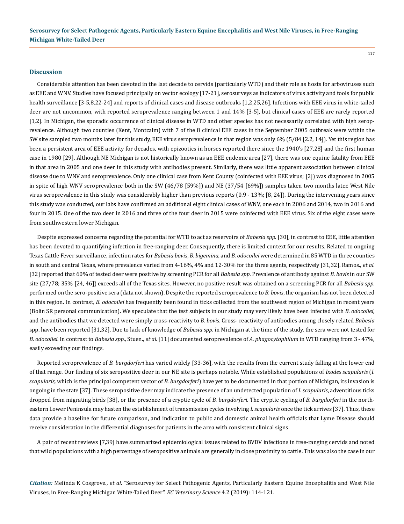#### **Discussion**

Considerable attention has been devoted in the last decade to cervids (particularly WTD) and their role as hosts for arboviruses such as EEE and WNV. Studies have focused principally on vector ecology [17-21], serosurveys as indicators of virus activity and tools for public health surveillance [3-5,8,22-24] and reports of clinical cases and disease outbreaks [1,2,25,26]. Infections with EEE virus in white-tailed deer are not uncommon, with reported seroprevalence ranging between 1 and 14% [3-5], but clinical cases of EEE are rarely reported [1,2]. In Michigan, the sporadic occurrence of clinical disease in WTD and other species has not necessarily correlated with high seroprevalence. Although two counties (Kent, Montcalm) with 7 of the 8 clinical EEE cases in the September 2005 outbreak were within the SW site sampled two months later for this study, EEE virus seroprevalence in that region was only 6% (5/84 [2.2, 14]). Yet this region has been a persistent area of EEE activity for decades, with epizootics in horses reported there since the 1940's [27,28] and the first human case in 1980 [29]. Although NE Michigan is not historically known as an EEE endemic area [27], there was one equine fatality from EEE in that area in 2005 and one deer in this study with antibodies present. Similarly, there was little apparent association between clinical disease due to WNV and seroprevalence. Only one clinical case from Kent County (coinfected with EEE virus; [2]) was diagnosed in 2005 in spite of high WNV seroprevalence both in the SW (46/78 [59%]) and NE (37/54 [69%]) samples taken two months later. West Nile virus seroprevalence in this study was considerably higher than previous reports (0.9 - 13%; [8, 24]). During the intervening years since this study was conducted, our labs have confirmed an additional eight clinical cases of WNV, one each in 2006 and 2014, two in 2016 and four in 2015. One of the two deer in 2016 and three of the four deer in 2015 were coinfected with EEE virus. Six of the eight cases were from southwestern lower Michigan.

Despite expressed concerns regarding the potential for WTD to act as reservoirs of *Babesia spp*. [30], in contrast to EEE, little attention has been devoted to quantifying infection in free-ranging deer. Consequently, there is limited context for our results. Related to ongoing Texas Cattle Fever surveillance, infection rates for *Babesia bovis*, *B. bigemina,* and *B. odocoilei* were determined in 85 WTD in three counties in south and central Texas, where prevalence varied from 4-16%, 4% and 12-30% for the three agents, respectively [31,32]. Ramos., *et al.* [32] reported that 60% of tested deer were positive by screening PCR for all *Babesia spp.* Prevalence of antibody against *B. bovis* in our SW site (27/78; 35% [24, 46]) exceeds all of the Texas sites. However, no positive result was obtained on a screening PCR for all *Babesia spp.* performed on the sero-positive sera (data not shown). Despite the reported seroprevalence to *B. bovis*, the organism has not been detected in this region. In contrast*, B. odocoilei* has frequently been found in ticks collected from the southwest region of Michigan in recent years (Bolin SR personal communication). We speculate that the test subjects in our study may very likely have been infected with *B. odocoilei*, and the antibodies that we detected were simply cross-reactivity to *B. bovis*. Cross- reactivity of antibodies among closely related *Babesia* spp. have been reported [31,32]. Due to lack of knowledge of *Babesia spp.* in Michigan at the time of the study, the sera were not tested for *B. odocoilei.* In contrast to *Babesia spp.,* Stuen., *et al.* [11] documented seroprevalence of *A. phagocytophilum* in WTD ranging from 3 - 47%, easily exceeding our findings.

Reported seroprevalence of *B. burgdorferi* has varied widely [33-36], with the results from the current study falling at the lower end of that range. Our finding of six seropositive deer in our NE site is perhaps notable. While established populations of *Ixodes scapularis* (*I. scapularis,* which is the principal competent vector of *B. burgdorferi*) have yet to be documented in that portion of Michigan, its invasion is ongoing in the state [37]. These seropositive deer may indicate the presence of an undetected population of *I. scapularis*, adventitious ticks dropped from migrating birds [38], or the presence of a cryptic cycle of *B. burgdorferi*. The cryptic cycling of *B. burgdorferi* in the northeastern Lower Peninsula may hasten the establishment of transmission cycles involving *I. scapularis* once the tick arrives [37]. Thus, these data provide a baseline for future comparison, and indication to public and domestic animal health officials that Lyme Disease should receive consideration in the differential diagnoses for patients in the area with consistent clinical signs.

A pair of recent reviews [7,39] have summarized epidemiological issues related to BVDV infections in free-ranging cervids and noted that wild populations with a high percentage of seropositive animals are generally in close proximity to cattle. This was also the case in our

*Citation:* Melinda K Cosgrove., *et al*. "Serosurvey for Select Pathogenic Agents, Particularly Eastern Equine Encephalitis and West Nile Viruses, in Free-Ranging Michigan White-Tailed Deer". *EC Veterinary Science* 4.2 (2019): 114-121.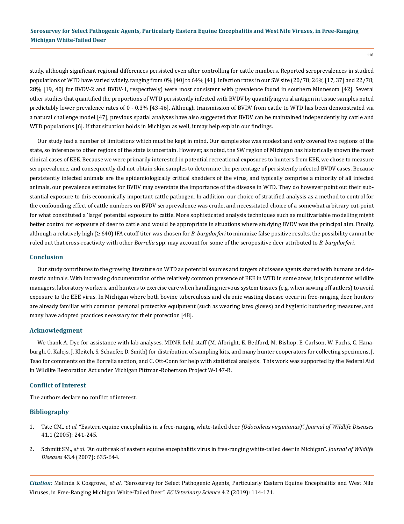study, although significant regional differences persisted even after controlling for cattle numbers. Reported seroprevalences in studied populations of WTD have varied widely, ranging from 0% [40] to 64% [41]. Infection rates in our SW site (20/78; 26% [17, 37] and 22/78; 28% [19, 40] for BVDV-2 and BVDV-1, respectively) were most consistent with prevalence found in southern Minnesota [42]. Several other studies that quantified the proportions of WTD persistently infected with BVDV by quantifying viral antigen in tissue samples noted predictably lower prevalence rates of 0 - 0.3% [43-46]. Although transmission of BVDV from cattle to WTD has been demonstrated via a natural challenge model [47], previous spatial analyses have also suggested that BVDV can be maintained independently by cattle and WTD populations [6]. If that situation holds in Michigan as well, it may help explain our findings.

Our study had a number of limitations which must be kept in mind. Our sample size was modest and only covered two regions of the state, so inference to other regions of the state is uncertain. However, as noted, the SW region of Michigan has historically shown the most clinical cases of EEE. Because we were primarily interested in potential recreational exposures to hunters from EEE, we chose to measure seroprevalence, and consequently did not obtain skin samples to determine the percentage of persistently infected BVDV cases. Because persistently infected animals are the epidemiologically critical shedders of the virus, and typically comprise a minority of all infected animals, our prevalence estimates for BVDV may overstate the importance of the disease in WTD. They do however point out their substantial exposure to this economically important cattle pathogen. In addition, our choice of stratified analysis as a method to control for the confounding effect of cattle numbers on BVDV seroprevalence was crude, and necessitated choice of a somewhat arbitrary cut-point for what constituted a 'large' potential exposure to cattle. More sophisticated analysis techniques such as multivariable modelling might better control for exposure of deer to cattle and would be appropriate in situations where studying BVDV was the principal aim. Finally, although a relatively high (≥ 640) IFA cutoff titer was chosen for *B. burgdorferi* to minimize false positive results, the possibility cannot be ruled out that cross-reactivity with other *Borrelia* spp. may account for some of the seropositive deer attributed to *B. burgdorferi*.

## **Conclusion**

Our study contributes to the growing literature on WTD as potential sources and targets of disease agents shared with humans and domestic animals. With increasing documentation of the relatively common presence of EEE in WTD in some areas, it is prudent for wildlife managers, laboratory workers, and hunters to exercise care when handling nervous system tissues (e.g. when sawing off antlers) to avoid exposure to the EEE virus. In Michigan where both bovine tuberculosis and chronic wasting disease occur in free-ranging deer, hunters are already familiar with common personal protective equipment (such as wearing latex gloves) and hygienic butchering measures, and many have adopted practices necessary for their protection [48].

#### **Acknowledgment**

We thank A. Dye for assistance with lab analyses, MDNR field staff (M. Albright, E. Bedford, M. Bishop, E. Carlson, W. Fuchs, C. Hanaburgh, G. Kalejs, J. Kleitch, S. Schaefer, D. Smith) for distribution of sampling kits, and many hunter cooperators for collecting specimens, J. Tsao for comments on the Borrelia section, and C. Ott-Conn for help with statistical analysis. This work was supported by the Federal Aid in Wildlife Restoration Act under Michigan Pittman-Robertson Project W-147-R.

#### **Conflict of Interest**

The authors declare no conflict of interest.

## **Bibliography**

- 1. Tate CM., *et al.* ["Eastern equine encephalitis in a free-ranging white-tailed deer](https://www.ncbi.nlm.nih.gov/pubmed/15827230) *(Odocoileus virginianus)". Journal of Wildlife Diseases* [41.1 \(2005\): 241-245.](https://www.ncbi.nlm.nih.gov/pubmed/15827230)
- 2. Schmitt SM., *et al*[. "An outbreak of eastern equine encephalitis virus in free-ranging white-tailed deer in Michigan"](https://www.ncbi.nlm.nih.gov/pubmed/17984258)*. Journal of Wildlife Diseases* [43.4 \(2007\): 635-644.](https://www.ncbi.nlm.nih.gov/pubmed/17984258)

*Citation:* Melinda K Cosgrove., *et al*. "Serosurvey for Select Pathogenic Agents, Particularly Eastern Equine Encephalitis and West Nile Viruses, in Free-Ranging Michigan White-Tailed Deer". *EC Veterinary Science* 4.2 (2019): 114-121.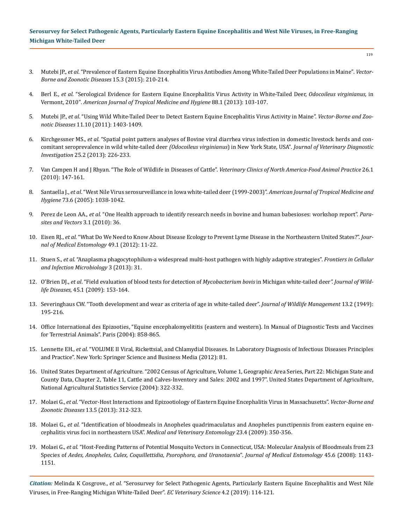- 3. Mutebi JP., *et al*[. "Prevalence of Eastern Equine Encephalitis Virus Antibodies Among White-Tailed Deer Populations in Maine"](https://www.ncbi.nlm.nih.gov/pubmed/25793477)*. Vector-[Borne and Zoonotic Diseases](https://www.ncbi.nlm.nih.gov/pubmed/25793477)* 15.3 (2015): 210-214.
- 4. Berl E., *et al.* ["Serological Evidence for Eastern Equine Encephalitis Virus Activity in White-Tailed Deer,](https://www.ncbi.nlm.nih.gov/pubmed/23208886) *Odocoileus virginianus,* in Vermont, 2010"*. [American Journal of Tropical Medicine and Hygiene](https://www.ncbi.nlm.nih.gov/pubmed/23208886)* 88.1 (2013): 103-107.
- 5. Mutebi JP., *et al*[. "Using Wild White-Tailed Deer to Detect Eastern Equine Encephalitis Virus Activity in Maine".](https://www.ncbi.nlm.nih.gov/pubmed/21736489) *Vector-Borne and Zoonotic Diseases* 11.10 [\(2011\): 1403-1409.](https://www.ncbi.nlm.nih.gov/pubmed/21736489)
- 6. Kirchgessner MS., *et al*[. "Spatial point pattern analyses of Bovine viral diarrhea virus infection in domestic livestock herds and con](https://www.ncbi.nlm.nih.gov/pubmed/23512919)[comitant seroprevalence in wild white-tailed deer](https://www.ncbi.nlm.nih.gov/pubmed/23512919) *(Odocoileus virginianus*) in New York State, USA"*. Journal of Veterinary Diagnostic Investigation* 25.2 [\(2013\): 226-233.](https://www.ncbi.nlm.nih.gov/pubmed/23512919)
- 7. [Van Campen H and J Rhyan. "The Role of Wildlife in Diseases of Cattle".](https://www.ncbi.nlm.nih.gov/pubmed/20117548) *Veterinary Clinics of North America-Food Animal Practice* 26.1 [\(2010\): 147-161.](https://www.ncbi.nlm.nih.gov/pubmed/20117548)
- 8. Santaella J., *et al*[. "West Nile Virus serosurveillance in Iowa white-tailed deer \(1999-2003\)".](https://www.ncbi.nlm.nih.gov/pubmed/16354809) *American Journal of Tropical Medicine and Hygiene* [73.6 \(2005\): 1038-1042.](https://www.ncbi.nlm.nih.gov/pubmed/16354809)
- 9. Perez de Leon AA., *et al.* ["One Health approach to identify research needs in bovine and human babesioses: workshop report".](https://www.ncbi.nlm.nih.gov/pubmed/20377902) *Para[sites and Vectors](https://www.ncbi.nlm.nih.gov/pubmed/20377902)* 3.1 (2010): 36.
- 10. Eisen RJ., *et al.* ["What Do We Need to Know About Disease Ecology to Prevent Lyme Disease in the Northeastern United States?".](https://academic.oup.com/jme/article/49/1/11/861160) *Jour[nal of Medical Entomology](https://academic.oup.com/jme/article/49/1/11/861160)* 49.1 (2012): 11-22.
- 11. Stuen S., *et al.* ["Anaplasma phagocytophilum-a widespread multi-host pathogen with highly adaptive strategies".](https://www.ncbi.nlm.nih.gov/pubmed/23885337) *Frontiers in Cellular [and Infection Microbiology](https://www.ncbi.nlm.nih.gov/pubmed/23885337)* 3 (2013): 31.
- 12. O'Brien DJ., *et al*[. "Field evaluation of blood tests for detection of](https://www.ncbi.nlm.nih.gov/pubmed/19204344) *Mycobacterium bovis* in Michigan white-tailed deer*". Journal of Wildlife Diseases,* 45.1 [\(2009\): 153-164.](https://www.ncbi.nlm.nih.gov/pubmed/19204344)
- 13. [Severinghaus CW. "Tooth development and wear as criteria of age in white-tailed deer".](https://www.jstor.org/stable/3796089) *Journal of Wildlife Management* 13.2 (1949): [195-216.](https://www.jstor.org/stable/3796089)
- 14. [Office International des Epizooties, "Equine encephalomyelititis \(eastern and western\). In Manual of Diagnostic Tests and Vaccines](http://catalog.lib.msu.edu/record=b5749098~S39a)  [for Terrestrial Animals". Paris \(2004\): 858-865.](http://catalog.lib.msu.edu/record=b5749098~S39a)
- 15. Lennette EH., *et al.* ["VOLUME II Viral, Rickettsial, and Chlamydial Diseases. In Laboratory Diagnosis of Infectious Diseases Principles](http://catalog.lib.msu.edu/record=b2150093~S39a)  [and Practice". New York: Springer Science and Business Media \(2012\): 81.](http://catalog.lib.msu.edu/record=b2150093~S39a)
- 16. United States Department of Agriculture. ["2002 Census of Agriculture, Volume 1, Geographic Area Series, Part 22: Michigan State and](http://usda.mannlib.cornell.edu/usda/AgCensusImages/2002/01/22/1704/Table-11.pdf)  [County Data, Chapter 2, Table 11, Cattle and Calves-Inventory and Sales: 2002 and 1997". United States Department of Agriculture,](http://usda.mannlib.cornell.edu/usda/AgCensusImages/2002/01/22/1704/Table-11.pdf)  [National Agricultural Statistics Service \(2004\): 322-332.](http://usda.mannlib.cornell.edu/usda/AgCensusImages/2002/01/22/1704/Table-11.pdf)
- 17. Molaei G., *et al.* ["Vector-Host Interactions and Epizootiology of Eastern Equine Encephalitis Virus in Massachusetts".](https://www.ncbi.nlm.nih.gov/pubmed/23473221) *Vector-Borne and [Zoonotic Diseases](https://www.ncbi.nlm.nih.gov/pubmed/23473221)* 13.5 (2013): 312-323.
- 18. Molaei G., *et al.* ["Identification of bloodmeals in Anopheles quadrimaculatus and Anopheles punctipennis from eastern equine en](https://www.ncbi.nlm.nih.gov/pubmed/19941600)cephalitis virus foci in northeastern USA". *[Medical and Veterinary Entomology](https://www.ncbi.nlm.nih.gov/pubmed/19941600)* 23.4 (2009): 350-356.
- 19. Molaei G., *et al.* ["Host-Feeding Patterns of Potential Mosquito Vectors in Connecticut, USA: Molecular Analysis of Bloodmeals from 23](https://www.ncbi.nlm.nih.gov/pubmed/19058640)  Species of *[Aedes, Anopheles, Culex, Coquillettidia, Psorophora, and Uranotaenia](https://www.ncbi.nlm.nih.gov/pubmed/19058640)*"*. Journal of Medical Entomology* 45.6 (2008): 1143- [1151.](https://www.ncbi.nlm.nih.gov/pubmed/19058640)

*Citation:* Melinda K Cosgrove., *et al*. "Serosurvey for Select Pathogenic Agents, Particularly Eastern Equine Encephalitis and West Nile Viruses, in Free-Ranging Michigan White-Tailed Deer". *EC Veterinary Science* 4.2 (2019): 114-121.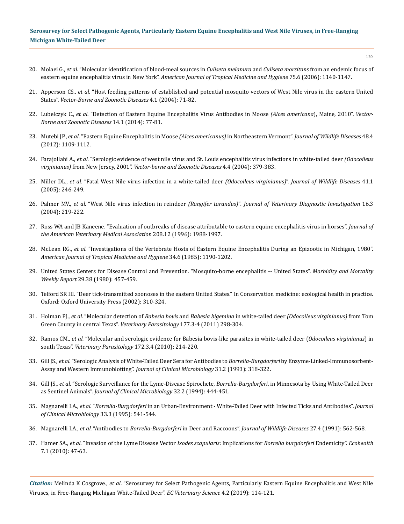- 20. Molaei G., *et al.* ["Molecular identification of blood-meal sources in](https://www.ncbi.nlm.nih.gov/pubmed/17172382) *Culiseta melanura* and *Culiseta morsitans* from an endemic focus of eastern equine encephalitis virus in New York". *[American Journal of Tropical Medicine and Hygiene](https://www.ncbi.nlm.nih.gov/pubmed/17172382)* 75.6 (2006): 1140-1147.
- 21. Apperson CS., *et al.* ["Host feeding patterns of established and potential mosquito vectors of West Nile virus in the eastern United](https://www.ncbi.nlm.nih.gov/pubmed/15018775)  States". *[Vector-Borne and Zoonotic Diseases](https://www.ncbi.nlm.nih.gov/pubmed/15018775)* 4.1 (2004): 71-82.
- 22. Lubelczyk C., *et al.* ["Detection of Eastern Equine Encephalitis Virus Antibodies in Moose](https://www.ncbi.nlm.nih.gov/pubmed/24359417) *(Alces americana*), Maine, 2010". *Vector-[Borne and Zoonotic Diseases](https://www.ncbi.nlm.nih.gov/pubmed/24359417)* 14.1 (2014): 77-81.
- 23. Mutebi JP., *et al*[. "Eastern Equine Encephalitis in Moose](https://www.ncbi.nlm.nih.gov/pubmed/23060520) *(Alces americanus)* in Northeastern Vermont". *Journal of Wildlife Diseases* 48.4 [\(2012\): 1109-1112.](https://www.ncbi.nlm.nih.gov/pubmed/23060520)
- 24. Farajollahi A., *et al.* ["Serologic evidence of west nile virus and St. Louis encephalitis virus infections in white-tailed deer](https://www.ncbi.nlm.nih.gov/pubmed/15671740) *(Odocoileus virginianus)* from New Jersey, 2001". *[Vector-borne and Zoonotic Diseases](https://www.ncbi.nlm.nih.gov/pubmed/15671740)* 4.4 (2004): 379-383.
- 25. Miller DL., *et al.* ["Fatal West Nile virus infection in a white-tailed deer](https://www.ncbi.nlm.nih.gov/pubmed/15827231) *(Odocoileus virginianus)*". *Journal of Wildlife Diseases* 41.1 [\(2005\): 246-249.](https://www.ncbi.nlm.nih.gov/pubmed/15827231)
- 26. Palmer MV., *et al.* "West Nile virus infection in reindeer *(Rangifer tarandus)*"*[. Journal of Veterinary Diagnostic Investigation](https://www.ncbi.nlm.nih.gov/pubmed/15152836)* 16.3 [\(2004\): 219-222.](https://www.ncbi.nlm.nih.gov/pubmed/15152836)
- 27. [Ross WA and JB Kaneene. "Evaluation of outbreaks of disease attributable to eastern equine encephalitis virus in horses".](https://www.ncbi.nlm.nih.gov/pubmed/8707672) *Journal of [the American Veterinary Medical Association](https://www.ncbi.nlm.nih.gov/pubmed/8707672)* 208.12 (1996): 1988-1997.
- 28. McLean RG., *et al.* ["Investigations of the Vertebrate Hosts of Eastern Equine Encephalitis During an Epizootic in Michigan, 1980".](https://www.ncbi.nlm.nih.gov/pubmed/3010751)  *[American Journal of Tropical Medicine and Hygiene](https://www.ncbi.nlm.nih.gov/pubmed/3010751)* 34.6 (1985): 1190-1202.
- 29. United States Centers for Disease Control and Prevention. "Mosquito-borne encephalitis -- United States". *Morbidity and Mortality Weekly Report* 29.38 (1980): 457-459.
- 30. [Telford SR III. "Deer tick-transmitted zoonoses in the eastern United States." In Conservation medicine: ecological health in practice.](https://ebookcentral-proquest-com.proxy1.cl.msu.edu/lib/michstate-ebooks/detail.action?docID=422364)  [Oxford: Oxford University Press \(2002\): 310-324.](https://ebookcentral-proquest-com.proxy1.cl.msu.edu/lib/michstate-ebooks/detail.action?docID=422364)
- 31. Holman PJ., *et al.* "Molecular detection of *Babesia bovis* and *Babesia bigemina* in white-tailed deer *[\(Odocoileus virginianus\)](https://www.ncbi.nlm.nih.gov/pubmed/21194841)* from Tom [Green County in central Texas".](https://www.ncbi.nlm.nih.gov/pubmed/21194841) *Veterinary Parasitology* 177.3-4 (2011) 298-304.
- 32. Ramos CM., *et al.* ["Molecular and serologic evidence for Babesia bovis-like parasites in white-tailed deer \(](https://www.ncbi.nlm.nih.gov/pubmed/20605333)*Odocoileus virginianus*) in south Texas". *[Veterinary Parasitology](https://www.ncbi.nlm.nih.gov/pubmed/20605333)* 172.3.4 (2010): 214-220.
- 33. Gill JS., *et al.* ["Serologic Analysis of White-Tailed Deer Sera for Antibodies to](https://www.ncbi.nlm.nih.gov/pmc/articles/PMC262758/) *Borrelia-Burgdorferi* by Enzyme-Linked-Immunosorbent-Assay and Western Immunoblotting". *[Journal of Clinical Microbiology](https://www.ncbi.nlm.nih.gov/pmc/articles/PMC262758/)* 31.2 (1993): 318-322.
- 34. Gill JS., *et al.* ["Serologic Surveillance for the Lyme-Disease Spirochete,](https://www.ncbi.nlm.nih.gov/pubmed/8150955) *Borrelia-Burgdorferi*, in Minnesota by Using White-Tailed Deer as Sentinel Animals". *[Journal of Clinical Microbiology](https://www.ncbi.nlm.nih.gov/pubmed/8150955)* 32.2 (1994): 444-451.
- 35. Magnarelli LA., *et al.* "*Borrelia-Burgdorferi* [in an Urban-Environment White-Tailed Deer with Infected Ticks and Antibodies".](https://jcm.asm.org/content/33/3/541) *Journal [of Clinical Microbiology](https://jcm.asm.org/content/33/3/541)* 33.3 (1995): 541-544.
- 36. Magnarelli LA., *et al.* "Antibodies to *Borrelia-Burgdorferi* in Deer and Raccoons". *[Journal of Wildlife Diseases](https://www.ncbi.nlm.nih.gov/pubmed/1758022)* 27.4 (1991): 562-568.
- 37. Hamer SA., *et al*[. "Invasion of the Lyme Disease Vector](https://www.ncbi.nlm.nih.gov/pubmed/20229127) *Ixodes scapularis*: Implications for *Borrelia burgdorferi* Endemicity". *Ecohealth* [7.1 \(2010\): 47-63.](https://www.ncbi.nlm.nih.gov/pubmed/20229127)

*Citation:* Melinda K Cosgrove., *et al*. "Serosurvey for Select Pathogenic Agents, Particularly Eastern Equine Encephalitis and West Nile Viruses, in Free-Ranging Michigan White-Tailed Deer". *EC Veterinary Science* 4.2 (2019): 114-121.